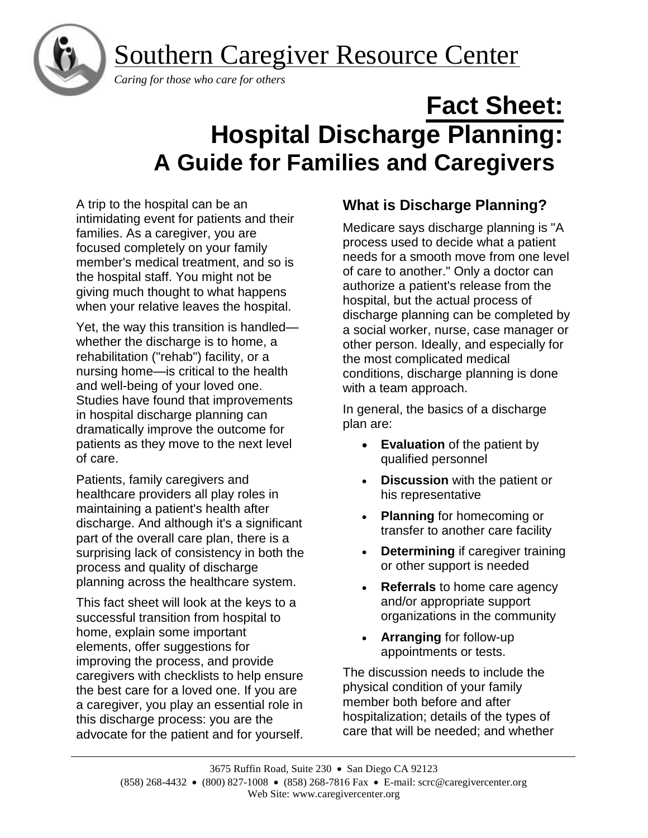Southern Caregiver Resource Center



 *Caring for those who care for others*

# **Fact Sheet: Hospital Discharge Planning: A Guide for Families and Caregivers**

A trip to the hospital can be an intimidating event for patients and their families. As a caregiver, you are focused completely on your family member's medical treatment, and so is the hospital staff. You might not be giving much thought to what happens when your relative leaves the hospital.

Yet, the way this transition is handled whether the discharge is to home, a rehabilitation ("rehab") facility, or a nursing home—is critical to the health and well-being of your loved one. Studies have found that improvements in hospital discharge planning can dramatically improve the outcome for patients as they move to the next level of care.

Patients, family caregivers and healthcare providers all play roles in maintaining a patient's health after discharge. And although it's a significant part of the overall care plan, there is a surprising lack of consistency in both the process and quality of discharge planning across the healthcare system.

This fact sheet will look at the keys to a successful transition from hospital to home, explain some important elements, offer suggestions for improving the process, and provide caregivers with checklists to help ensure the best care for a loved one. If you are a caregiver, you play an essential role in this discharge process: you are the advocate for the patient and for yourself.

## **What is Discharge Planning?**

Medicare says discharge planning is "A process used to decide what a patient needs for a smooth move from one level of care to another." Only a doctor can authorize a patient's release from the hospital, but the actual process of discharge planning can be completed by a social worker, nurse, case manager or other person. Ideally, and especially for the most complicated medical conditions, discharge planning is done with a team approach.

In general, the basics of a discharge plan are:

- **Evaluation** of the patient by qualified personnel
- **Discussion** with the patient or his representative
- **Planning** for homecoming or transfer to another care facility
- **Determining** if caregiver training or other support is needed
- **Referrals** to home care agency and/or appropriate support organizations in the community
- **Arranging** for follow-up appointments or tests.

The discussion needs to include the physical condition of your family member both before and after hospitalization; details of the types of care that will be needed; and whether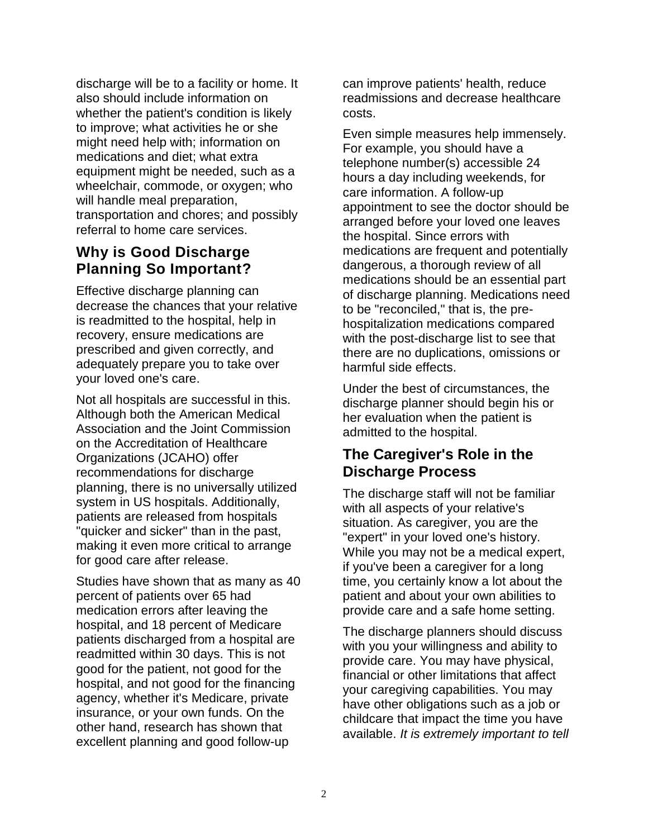discharge will be to a facility or home. It also should include information on whether the patient's condition is likely to improve; what activities he or she might need help with; information on medications and diet; what extra equipment might be needed, such as a wheelchair, commode, or oxygen; who will handle meal preparation, transportation and chores; and possibly referral to home care services.

## **Why is Good Discharge Planning So Important?**

Effective discharge planning can decrease the chances that your relative is readmitted to the hospital, help in recovery, ensure medications are prescribed and given correctly, and adequately prepare you to take over your loved one's care.

Not all hospitals are successful in this. Although both the American Medical Association and the Joint Commission on the Accreditation of Healthcare Organizations (JCAHO) offer recommendations for discharge planning, there is no universally utilized system in US hospitals. Additionally, patients are released from hospitals "quicker and sicker" than in the past, making it even more critical to arrange for good care after release.

Studies have shown that as many as 40 percent of patients over 65 had medication errors after leaving the hospital, and 18 percent of Medicare patients discharged from a hospital are readmitted within 30 days. This is not good for the patient, not good for the hospital, and not good for the financing agency, whether it's Medicare, private insurance, or your own funds. On the other hand, research has shown that excellent planning and good follow-up

can improve patients' health, reduce readmissions and decrease healthcare costs.

Even simple measures help immensely. For example, you should have a telephone number(s) accessible 24 hours a day including weekends, for care information. A follow-up appointment to see the doctor should be arranged before your loved one leaves the hospital. Since errors with medications are frequent and potentially dangerous, a thorough review of all medications should be an essential part of discharge planning. Medications need to be "reconciled," that is, the prehospitalization medications compared with the post-discharge list to see that there are no duplications, omissions or harmful side effects.

Under the best of circumstances, the discharge planner should begin his or her evaluation when the patient is admitted to the hospital.

## **The Caregiver's Role in the Discharge Process**

The discharge staff will not be familiar with all aspects of your relative's situation. As caregiver, you are the "expert" in your loved one's history. While you may not be a medical expert, if you've been a caregiver for a long time, you certainly know a lot about the patient and about your own abilities to provide care and a safe home setting.

The discharge planners should discuss with you your willingness and ability to provide care. You may have physical, financial or other limitations that affect your caregiving capabilities. You may have other obligations such as a job or childcare that impact the time you have available. *It is extremely important to tell*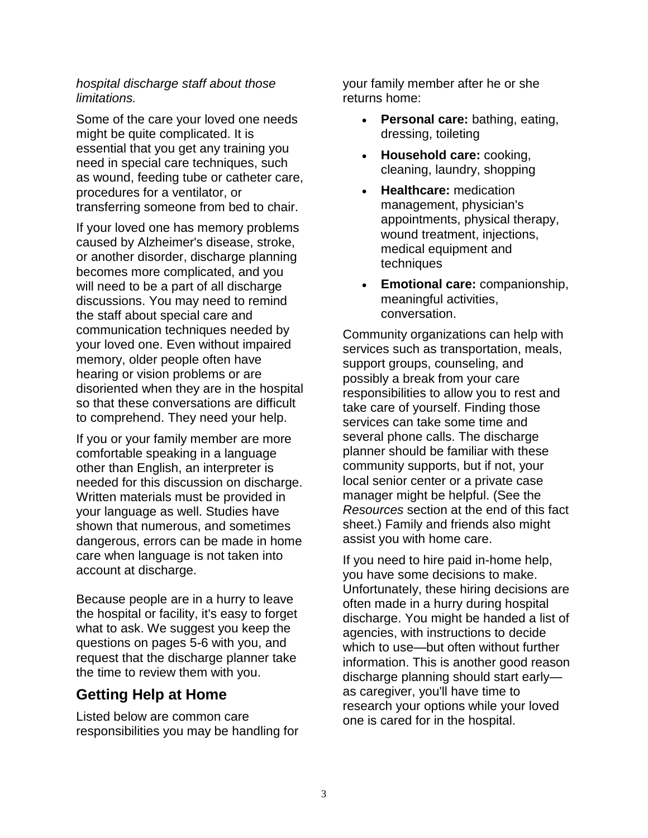#### *hospital discharge staff about those limitations.*

Some of the care your loved one needs might be quite complicated. It is essential that you get any training you need in special care techniques, such as wound, feeding tube or catheter care, procedures for a ventilator, or transferring someone from bed to chair.

If your loved one has memory problems caused by Alzheimer's disease, stroke, or another disorder, discharge planning becomes more complicated, and you will need to be a part of all discharge discussions. You may need to remind the staff about special care and communication techniques needed by your loved one. Even without impaired memory, older people often have hearing or vision problems or are disoriented when they are in the hospital so that these conversations are difficult to comprehend. They need your help.

If you or your family member are more comfortable speaking in a language other than English, an interpreter is needed for this discussion on discharge. Written materials must be provided in your language as well. Studies have shown that numerous, and sometimes dangerous, errors can be made in home care when language is not taken into account at discharge.

Because people are in a hurry to leave the hospital or facility, it's easy to forget what to ask. We suggest you keep the questions on pages 5-6 with you, and request that the discharge planner take the time to review them with you.

## **Getting Help at Home**

Listed below are common care responsibilities you may be handling for your family member after he or she returns home:

- **Personal care:** bathing, eating, dressing, toileting
- **Household care:** cooking, cleaning, laundry, shopping
- **Healthcare:** medication management, physician's appointments, physical therapy, wound treatment, injections, medical equipment and techniques
- **Emotional care:** companionship, meaningful activities, conversation.

Community organizations can help with services such as transportation, meals, support groups, counseling, and possibly a break from your care responsibilities to allow you to rest and take care of yourself. Finding those services can take some time and several phone calls. The discharge planner should be familiar with these community supports, but if not, your local senior center or a private case manager might be helpful. (See the *Resources* section at the end of this fact sheet.) Family and friends also might assist you with home care.

If you need to hire paid in-home help, you have some decisions to make. Unfortunately, these hiring decisions are often made in a hurry during hospital discharge. You might be handed a list of agencies, with instructions to decide which to use—but often without further information. This is another good reason discharge planning should start early as caregiver, you'll have time to research your options while your loved one is cared for in the hospital.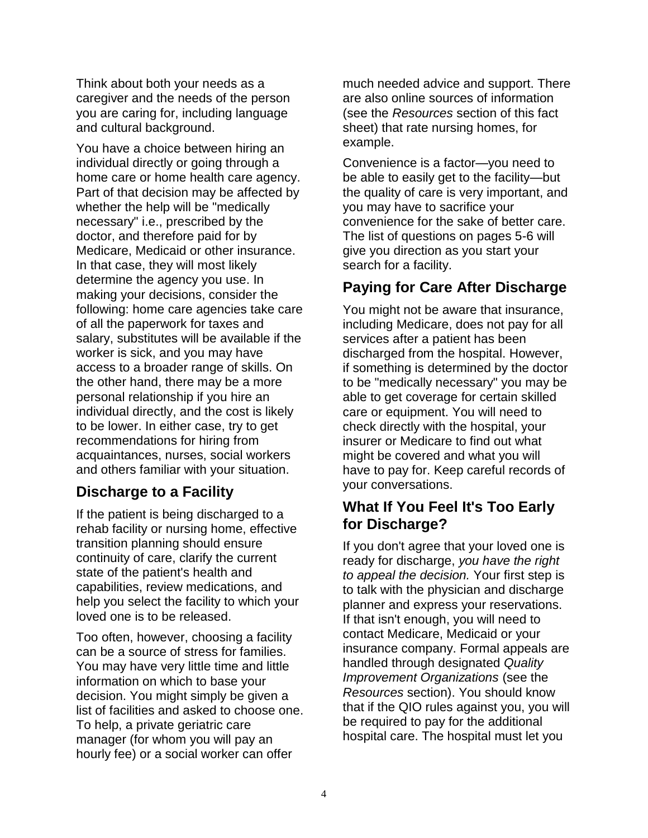Think about both your needs as a caregiver and the needs of the person you are caring for, including language and cultural background.

You have a choice between hiring an individual directly or going through a home care or home health care agency. Part of that decision may be affected by whether the help will be "medically necessary" i.e., prescribed by the doctor, and therefore paid for by Medicare, Medicaid or other insurance. In that case, they will most likely determine the agency you use. In making your decisions, consider the following: home care agencies take care of all the paperwork for taxes and salary, substitutes will be available if the worker is sick, and you may have access to a broader range of skills. On the other hand, there may be a more personal relationship if you hire an individual directly, and the cost is likely to be lower. In either case, try to get recommendations for hiring from acquaintances, nurses, social workers and others familiar with your situation.

## **Discharge to a Facility**

If the patient is being discharged to a rehab facility or nursing home, effective transition planning should ensure continuity of care, clarify the current state of the patient's health and capabilities, review medications, and help you select the facility to which your loved one is to be released.

Too often, however, choosing a facility can be a source of stress for families. You may have very little time and little information on which to base your decision. You might simply be given a list of facilities and asked to choose one. To help, a private geriatric care manager (for whom you will pay an hourly fee) or a social worker can offer

much needed advice and support. There are also online sources of information (see the *Resources* section of this fact sheet) that rate nursing homes, for example.

Convenience is a factor—you need to be able to easily get to the facility—but the quality of care is very important, and you may have to sacrifice your convenience for the sake of better care. The list of questions on pages 5-6 will give you direction as you start your search for a facility.

## **Paying for Care After Discharge**

You might not be aware that insurance, including Medicare, does not pay for all services after a patient has been discharged from the hospital. However, if something is determined by the doctor to be "medically necessary" you may be able to get coverage for certain skilled care or equipment. You will need to check directly with the hospital, your insurer or Medicare to find out what might be covered and what you will have to pay for. Keep careful records of your conversations.

## **What If You Feel It's Too Early for Discharge?**

If you don't agree that your loved one is ready for discharge, *you have the right to appeal the decision.* Your first step is to talk with the physician and discharge planner and express your reservations. If that isn't enough, you will need to contact Medicare, Medicaid or your insurance company. Formal appeals are handled through designated *Quality Improvement Organizations* (see the *Resources* section). You should know that if the QIO rules against you, you will be required to pay for the additional hospital care. The hospital must let you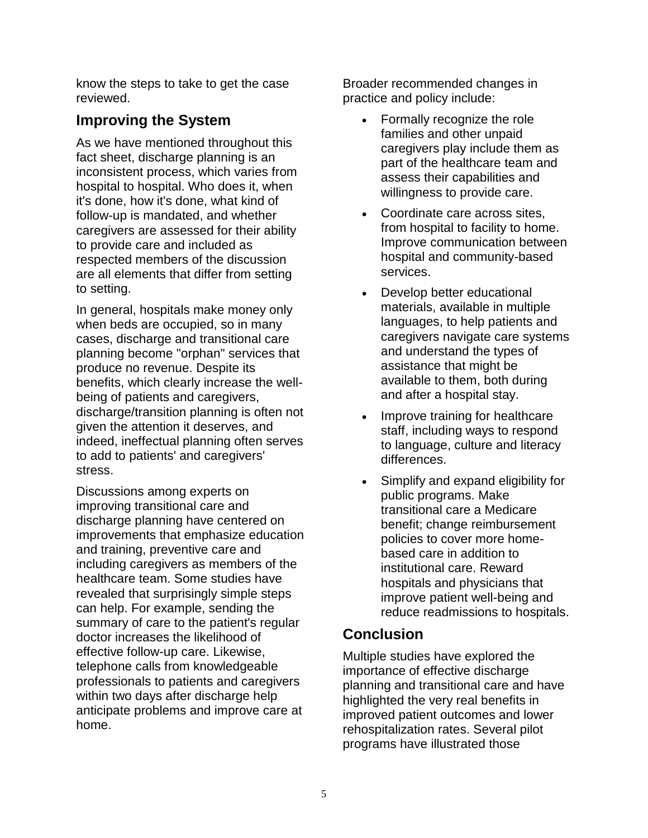know the steps to take to get the case reviewed.

## **Improving the System**

As we have mentioned throughout this fact sheet, discharge planning is an inconsistent process, which varies from hospital to hospital. Who does it, when it's done, how it's done, what kind of follow-up is mandated, and whether caregivers are assessed for their ability to provide care and included as respected members of the discussion are all elements that differ from setting to setting.

In general, hospitals make money only when beds are occupied, so in many cases, discharge and transitional care planning become "orphan" services that produce no revenue. Despite its benefits, which clearly increase the wellbeing of patients and caregivers, discharge/transition planning is often not given the attention it deserves, and indeed, ineffectual planning often serves to add to patients' and caregivers' stress.

Discussions among experts on improving transitional care and discharge planning have centered on improvements that emphasize education and training, preventive care and including caregivers as members of the healthcare team. Some studies have revealed that surprisingly simple steps can help. For example, sending the summary of care to the patient's regular doctor increases the likelihood of effective follow-up care. Likewise, telephone calls from knowledgeable professionals to patients and caregivers within two days after discharge help anticipate problems and improve care at home.

Broader recommended changes in practice and policy include:

- Formally recognize the role families and other unpaid caregivers play include them as part of the healthcare team and assess their capabilities and willingness to provide care.
- Coordinate care across sites, from hospital to facility to home. Improve communication between hospital and community-based services.
- Develop better educational materials, available in multiple languages, to help patients and caregivers navigate care systems and understand the types of assistance that might be available to them, both during and after a hospital stay.
- Improve training for healthcare staff, including ways to respond to language, culture and literacy differences.
- Simplify and expand eligibility for public programs. Make transitional care a Medicare benefit; change reimbursement policies to cover more homebased care in addition to institutional care. Reward hospitals and physicians that improve patient well-being and reduce readmissions to hospitals.

## **Conclusion**

Multiple studies have explored the importance of effective discharge planning and transitional care and have highlighted the very real benefits in improved patient outcomes and lower rehospitalization rates. Several pilot programs have illustrated those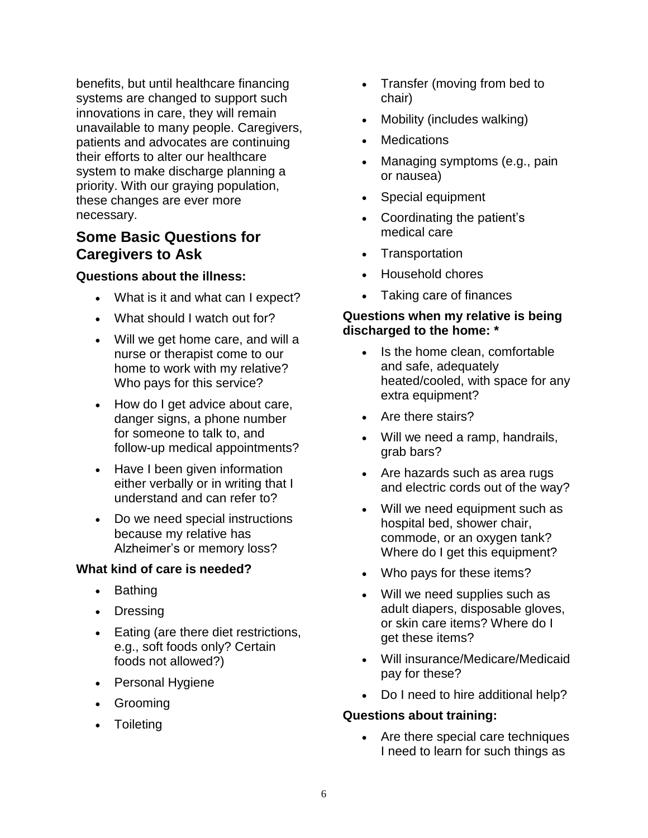benefits, but until healthcare financing systems are changed to support such innovations in care, they will remain unavailable to many people. Caregivers, patients and advocates are continuing their efforts to alter our healthcare system to make discharge planning a priority. With our graying population, these changes are ever more necessary.

### **Some Basic Questions for Caregivers to Ask**

#### **Questions about the illness:**

- What is it and what can I expect?
- What should I watch out for?
- Will we get home care, and will a nurse or therapist come to our home to work with my relative? Who pays for this service?
- How do I get advice about care, danger signs, a phone number for someone to talk to, and follow-up medical appointments?
- Have I been given information either verbally or in writing that I understand and can refer to?
- Do we need special instructions because my relative has Alzheimer's or memory loss?

#### **What kind of care is needed?**

- Bathing
- Dressing
- Eating (are there diet restrictions, e.g., soft foods only? Certain foods not allowed?)
- Personal Hygiene
- Grooming
- Toileting
- Transfer (moving from bed to chair)
- Mobility (includes walking)
- Medications
- Managing symptoms (e.g., pain or nausea)
- Special equipment
- Coordinating the patient's medical care
- **Transportation**
- Household chores
- Taking care of finances

#### **Questions when my relative is being discharged to the home: \***

- Is the home clean, comfortable and safe, adequately heated/cooled, with space for any extra equipment?
- Are there stairs?
- Will we need a ramp, handrails, grab bars?
- Are hazards such as area rugs and electric cords out of the way?
- Will we need equipment such as hospital bed, shower chair, commode, or an oxygen tank? Where do I get this equipment?
- Who pays for these items?
- Will we need supplies such as adult diapers, disposable gloves, or skin care items? Where do I get these items?
- Will insurance/Medicare/Medicaid pay for these?
- Do I need to hire additional help?

#### **Questions about training:**

• Are there special care techniques I need to learn for such things as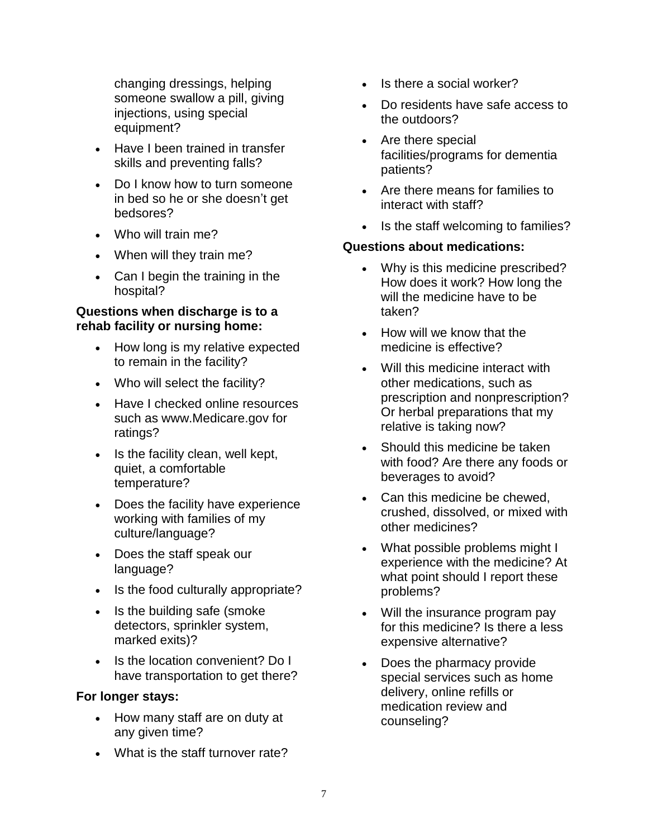changing dressings, helping someone swallow a pill, giving injections, using special equipment?

- Have I been trained in transfer skills and preventing falls?
- Do I know how to turn someone in bed so he or she doesn't get bedsores?
- Who will train me?
- When will they train me?
- Can I begin the training in the hospital?

#### **Questions when discharge is to a rehab facility or nursing home:**

- How long is my relative expected to remain in the facility?
- Who will select the facility?
- Have I checked online resources such as www.Medicare.gov for ratings?
- Is the facility clean, well kept, quiet, a comfortable temperature?
- Does the facility have experience working with families of my culture/language?
- Does the staff speak our language?
- Is the food culturally appropriate?
- Is the building safe (smoke detectors, sprinkler system, marked exits)?
- Is the location convenient? Do I have transportation to get there?

#### **For longer stays:**

- How many staff are on duty at any given time?
- What is the staff turnover rate?
- Is there a social worker?
- Do residents have safe access to the outdoors?
- Are there special facilities/programs for dementia patients?
- Are there means for families to interact with staff?
- Is the staff welcoming to families?

#### **Questions about medications:**

- Why is this medicine prescribed? How does it work? How long the will the medicine have to be taken?
- How will we know that the medicine is effective?
- Will this medicine interact with other medications, such as prescription and nonprescription? Or herbal preparations that my relative is taking now?
- Should this medicine be taken with food? Are there any foods or beverages to avoid?
- Can this medicine be chewed, crushed, dissolved, or mixed with other medicines?
- What possible problems might I experience with the medicine? At what point should I report these problems?
- Will the insurance program pay for this medicine? Is there a less expensive alternative?
- Does the pharmacy provide special services such as home delivery, online refills or medication review and counseling?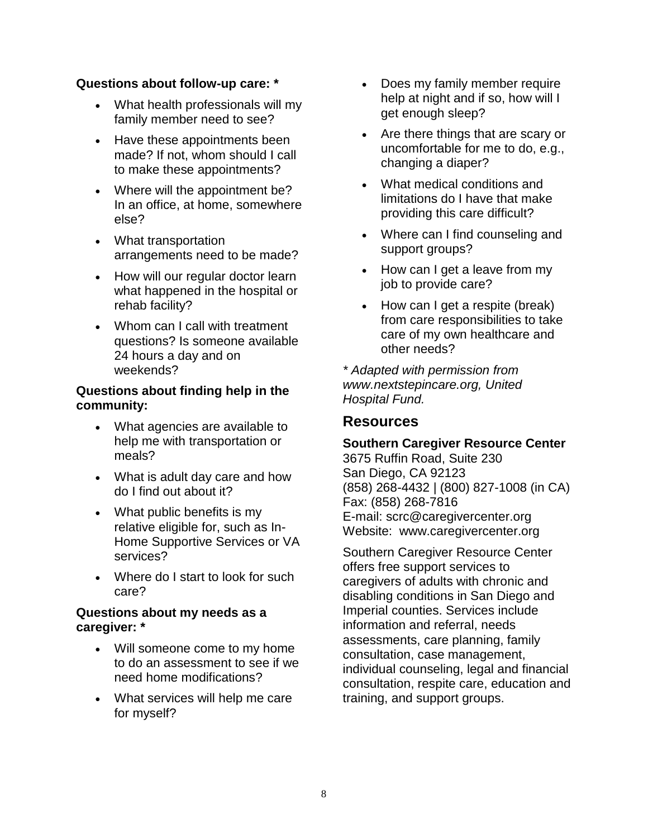#### **Questions about follow-up care: \***

- What health professionals will my family member need to see?
- Have these appointments been made? If not, whom should I call to make these appointments?
- Where will the appointment be? In an office, at home, somewhere else?
- What transportation arrangements need to be made?
- How will our regular doctor learn what happened in the hospital or rehab facility?
- Whom can I call with treatment questions? Is someone available 24 hours a day and on weekends?

#### **Questions about finding help in the community:**

- What agencies are available to help me with transportation or meals?
- What is adult day care and how do I find out about it?
- What public benefits is my relative eligible for, such as In-Home Supportive Services or VA services?
- Where do I start to look for such care?

#### **Questions about my needs as a caregiver: \***

- Will someone come to my home to do an assessment to see if we need home modifications?
- What services will help me care for myself?
- Does my family member require help at night and if so, how will I get enough sleep?
- Are there things that are scary or uncomfortable for me to do, e.g., changing a diaper?
- What medical conditions and limitations do I have that make providing this care difficult?
- Where can I find counseling and support groups?
- How can I get a leave from my job to provide care?
- How can I get a respite (break) from care responsibilities to take care of my own healthcare and other needs?

*\* Adapted with permission from www.nextstepincare.org, United Hospital Fund.*

#### **Resources**

#### **Southern Caregiver Resource Center** 3675 Ruffin Road, Suite 230 San Diego, CA 92123 (858) 268-4432 | (800) 827-1008 (in CA) Fax: (858) 268-7816 E-mail: scrc@caregivercenter.org

Website: www.caregivercenter.org

Southern Caregiver Resource Center offers free support services to caregivers of adults with chronic and disabling conditions in San Diego and Imperial counties. Services include information and referral, needs assessments, care planning, family consultation, case management, individual counseling, legal and financial consultation, respite care, education and training, and support groups.